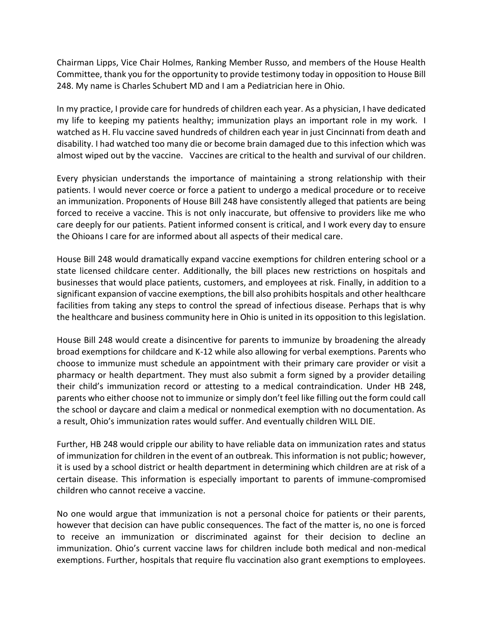Chairman Lipps, Vice Chair Holmes, Ranking Member Russo, and members of the House Health Committee, thank you for the opportunity to provide testimony today in opposition to House Bill 248. My name is Charles Schubert MD and I am a Pediatrician here in Ohio.

In my practice, I provide care for hundreds of children each year. As a physician, I have dedicated my life to keeping my patients healthy; immunization plays an important role in my work. I watched as H. Flu vaccine saved hundreds of children each year in just Cincinnati from death and disability. I had watched too many die or become brain damaged due to this infection which was almost wiped out by the vaccine. Vaccines are critical to the health and survival of our children.

Every physician understands the importance of maintaining a strong relationship with their patients. I would never coerce or force a patient to undergo a medical procedure or to receive an immunization. Proponents of House Bill 248 have consistently alleged that patients are being forced to receive a vaccine. This is not only inaccurate, but offensive to providers like me who care deeply for our patients. Patient informed consent is critical, and I work every day to ensure the Ohioans I care for are informed about all aspects of their medical care.

House Bill 248 would dramatically expand vaccine exemptions for children entering school or a state licensed childcare center. Additionally, the bill places new restrictions on hospitals and businesses that would place patients, customers, and employees at risk. Finally, in addition to a significant expansion of vaccine exemptions, the bill also prohibits hospitals and other healthcare facilities from taking any steps to control the spread of infectious disease. Perhaps that is why the healthcare and business community here in Ohio is united in its opposition to this legislation.

House Bill 248 would create a disincentive for parents to immunize by broadening the already broad exemptions for childcare and K-12 while also allowing for verbal exemptions. Parents who choose to immunize must schedule an appointment with their primary care provider or visit a pharmacy or health department. They must also submit a form signed by a provider detailing their child's immunization record or attesting to a medical contraindication. Under HB 248, parents who either choose not to immunize or simply don't feel like filling out the form could call the school or daycare and claim a medical or nonmedical exemption with no documentation. As a result, Ohio's immunization rates would suffer. And eventually children WILL DIE.

Further, HB 248 would cripple our ability to have reliable data on immunization rates and status of immunization for children in the event of an outbreak. This information is not public; however, it is used by a school district or health department in determining which children are at risk of a certain disease. This information is especially important to parents of immune-compromised children who cannot receive a vaccine.

No one would argue that immunization is not a personal choice for patients or their parents, however that decision can have public consequences. The fact of the matter is, no one is forced to receive an immunization or discriminated against for their decision to decline an immunization. Ohio's current vaccine laws for children include both medical and non-medical exemptions. Further, hospitals that require flu vaccination also grant exemptions to employees.